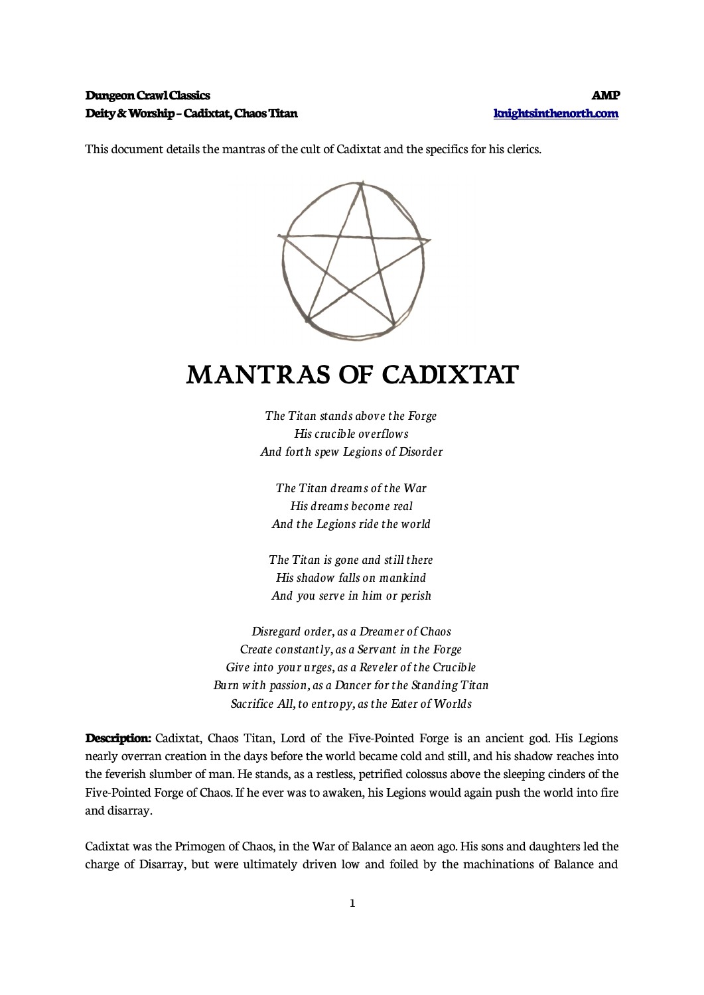### **Dungeon Crawl Classics AMP Deity & Worship – Cadixtat, Chaos Titan [knightsinthenorth.com](http://knightsinthenorth.com/)**

This document details the mantras of the cult of Cadixtat and the specifics for his clerics.



# **MANTRAS OF CADIXTAT**

*The Titan stands above the Forge His crucible overflows And forth spew Legions of Disorder*

*The Titan dreams of the War His dreams become real And the Legions ride the world*

*The Titan is gone and still there His shadow falls on mankind And you serve in him or perish*

*Disregard order, as a Dreamer of Chaos Create constantly, as a Servant in the Forge Give into your urges, as a Reveler of the Crucible Burn with passion, as a Dancer for the Standing Titan Sacrifice All, to entropy, as the Eater of Worlds*

**Description:** Cadixtat, Chaos Titan, Lord of the Five-Pointed Forge is an ancient god. His Legions nearly overran creation in the days before the world became cold and still, and his shadow reaches into the feverish slumber of man. He stands, as a restless, petrified colossus above the sleeping cinders of the Five-Pointed Forge of Chaos. If he ever was to awaken, his Legions would again push the world into fire and disarray.

Cadixtat was the Primogen of Chaos, in the War of Balance an aeon ago. His sons and daughters led the charge of Disarray, but were ultimately driven low and foiled by the machinations of Balance and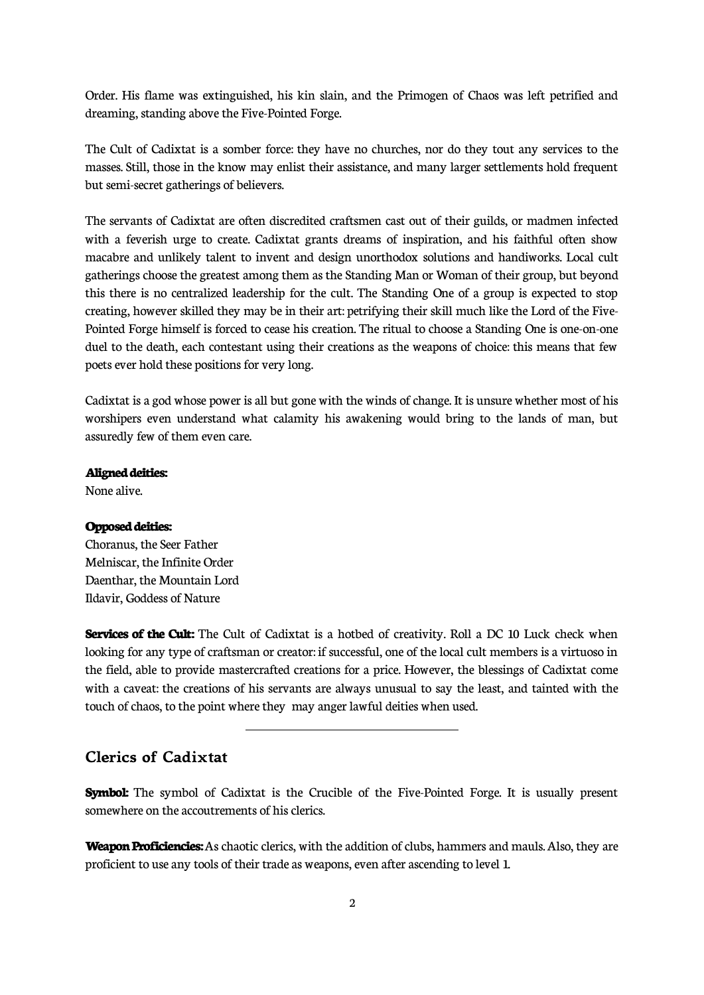Order. His flame was extinguished, his kin slain, and the Primogen of Chaos was left petrified and dreaming, standing above the Five-Pointed Forge.

The Cult of Cadixtat is a somber force: they have no churches, nor do they tout any services to the masses. Still, those in the know may enlist their assistance, and many larger settlements hold frequent but semi-secret gatherings of believers.

The servants of Cadixtat are often discredited craftsmen cast out of their guilds, or madmen infected with a feverish urge to create. Cadixtat grants dreams of inspiration, and his faithful often show macabre and unlikely talent to invent and design unorthodox solutions and handiworks. Local cult gatherings choose the greatest among them as the Standing Man or Woman of their group, but beyond this there is no centralized leadership for the cult. The Standing One of a group is expected to stop creating, however skilled they may be in their art: petrifying their skill much like the Lord of the Five-Pointed Forge himself is forced to cease his creation. The ritual to choose a Standing One is one-on-one duel to the death, each contestant using their creations as the weapons of choice: this means that few poets ever hold these positions for very long.

Cadixtat is a god whose power is all but gone with the winds of change. It is unsure whether most of his worshipers even understand what calamity his awakening would bring to the lands of man, but assuredly few of them even care.

#### **Aligned deities:**

None alive.

#### **Opposed deities:**

Choranus, the Seer Father Melniscar, the Infinite Order Daenthar, the Mountain Lord Ildavir, Goddess of Nature

**Services of the Cult:** The Cult of Cadixtat is a hotbed of creativity. Roll a DC 10 Luck check when looking for any type of craftsman or creator: if successful, one of the local cult members is a virtuoso in the field, able to provide mastercrafted creations for a price. However, the blessings of Cadixtat come with a caveat: the creations of his servants are always unusual to say the least, and tainted with the touch of chaos, to the point where they may anger lawful deities when used.

## **Clerics of Cadixtat**

 $\overline{a}$ 

**Symbol:** The symbol of Cadixtat is the Crucible of the Five-Pointed Forge. It is usually present somewhere on the accoutrements of his clerics.

**Weapon Proficiencies:** As chaotic clerics, with the addition of clubs, hammers and mauls. Also, they are proficient to use any tools of their trade as weapons, even after ascending to level 1.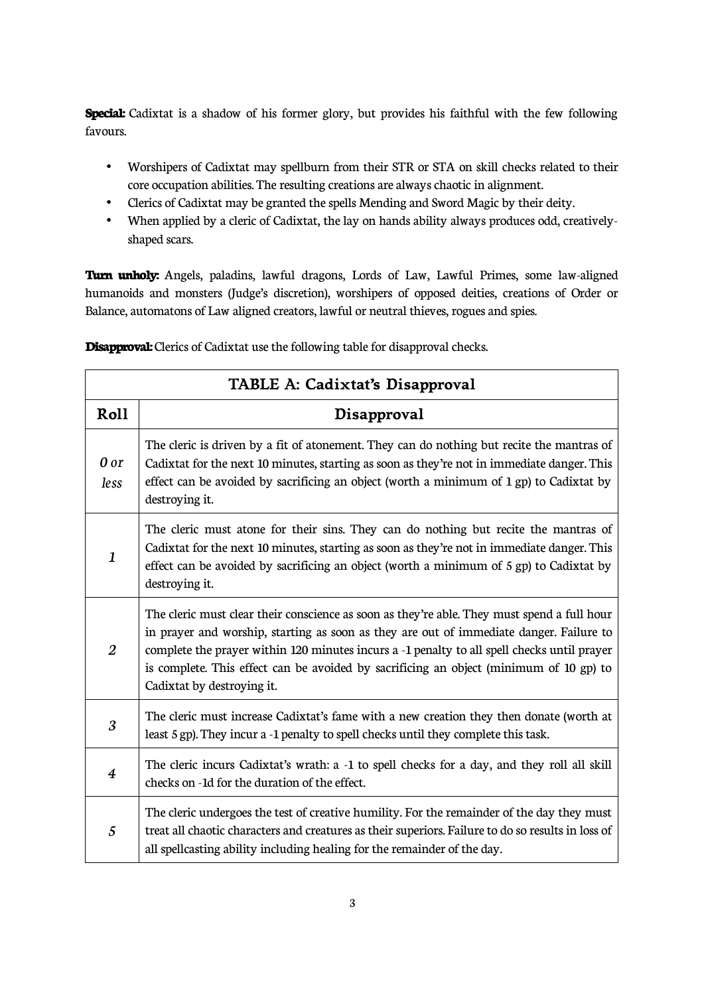**Special:** Cadixtat is a shadow of his former glory, but provides his faithful with the few following favours.

- Worshipers of Cadixtat may spellburn from their STR or STA on skill checks related to their core occupation abilities. The resulting creations are always chaotic in alignment.
- Clerics of Cadixtat may be granted the spells Mending and Sword Magic by their deity.
- When applied by a cleric of Cadixtat, the lay on hands ability always produces odd, creativelyshaped scars.

**Turn unholy:** Angels, paladins, lawful dragons, Lords of Law, Lawful Primes, some law-aligned humanoids and monsters (Judge's discretion), worshipers of opposed deities, creations of Order or Balance, automatons of Law aligned creators, lawful or neutral thieves, rogues and spies.

| TABLE A: Cadixtat's Disapproval |                                                                                                                                                                                                                                                                                                                                                                                                               |  |
|---------------------------------|---------------------------------------------------------------------------------------------------------------------------------------------------------------------------------------------------------------------------------------------------------------------------------------------------------------------------------------------------------------------------------------------------------------|--|
| Roll                            | Disapproval                                                                                                                                                                                                                                                                                                                                                                                                   |  |
| 0 or<br>less                    | The cleric is driven by a fit of atonement. They can do nothing but recite the mantras of<br>Cadixtat for the next 10 minutes, starting as soon as they're not in immediate danger. This<br>effect can be avoided by sacrificing an object (worth a minimum of 1 gp) to Cadixtat by<br>destroying it.                                                                                                         |  |
| $\mathbf{1}$                    | The cleric must atone for their sins. They can do nothing but recite the mantras of<br>Cadixtat for the next 10 minutes, starting as soon as they're not in immediate danger. This<br>effect can be avoided by sacrificing an object (worth a minimum of 5 gp) to Cadixtat by<br>destroying it.                                                                                                               |  |
| $\overline{2}$                  | The cleric must clear their conscience as soon as they're able. They must spend a full hour<br>in prayer and worship, starting as soon as they are out of immediate danger. Failure to<br>complete the prayer within 120 minutes incurs a -1 penalty to all spell checks until prayer<br>is complete. This effect can be avoided by sacrificing an object (minimum of 10 gp) to<br>Cadixtat by destroying it. |  |
| 3                               | The cleric must increase Cadixtat's fame with a new creation they then donate (worth at<br>least 5 gp). They incur a -1 penalty to spell checks until they complete this task.                                                                                                                                                                                                                                |  |
| $\overline{\mathbf{4}}$         | The cleric incurs Cadixtat's wrath: a -1 to spell checks for a day, and they roll all skill<br>checks on -1d for the duration of the effect.                                                                                                                                                                                                                                                                  |  |
| 5                               | The cleric undergoes the test of creative humility. For the remainder of the day they must<br>treat all chaotic characters and creatures as their superiors. Failure to do so results in loss of<br>all spellcasting ability including healing for the remainder of the day.                                                                                                                                  |  |

**Disapproval:** Clerics of Cadixtat use the following table for disapproval checks.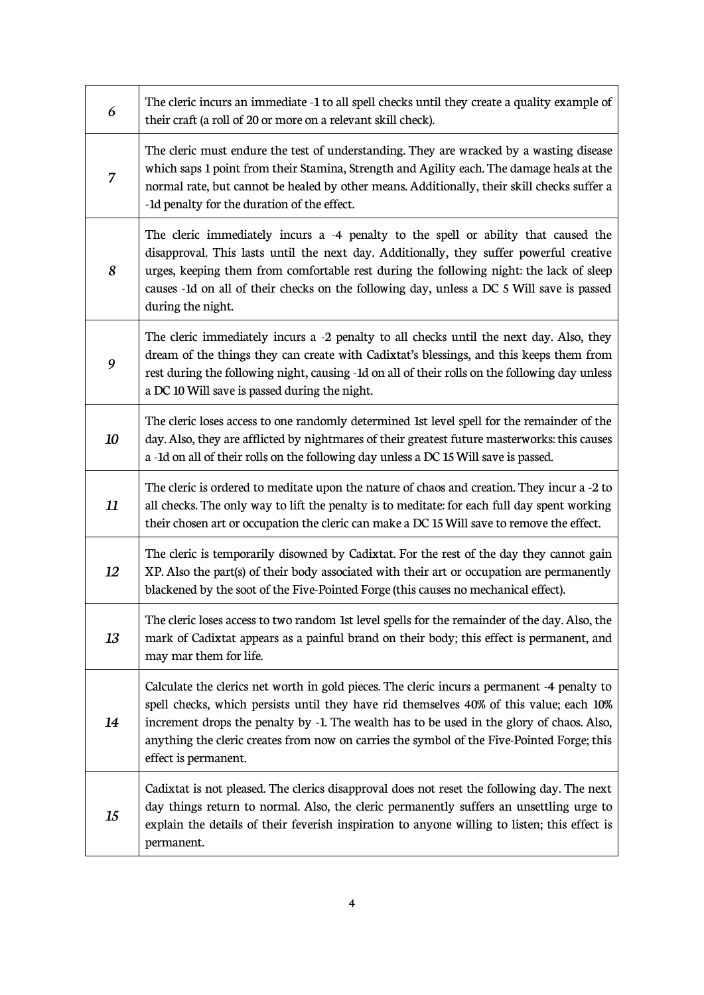| 6  | The cleric incurs an immediate -1 to all spell checks until they create a quality example of<br>their craft (a roll of 20 or more on a relevant skill check).                                                                                                                                                                                                                                             |
|----|-----------------------------------------------------------------------------------------------------------------------------------------------------------------------------------------------------------------------------------------------------------------------------------------------------------------------------------------------------------------------------------------------------------|
| 7  | The cleric must endure the test of understanding. They are wracked by a wasting disease<br>which saps 1 point from their Stamina, Strength and Agility each. The damage heals at the<br>normal rate, but cannot be healed by other means. Additionally, their skill checks suffer a<br>-1d penalty for the duration of the effect.                                                                        |
| 8  | The cleric immediately incurs a -4 penalty to the spell or ability that caused the<br>disapproval. This lasts until the next day. Additionally, they suffer powerful creative<br>urges, keeping them from comfortable rest during the following night: the lack of sleep<br>causes -1d on all of their checks on the following day, unless a DC 5 Will save is passed<br>during the night.                |
| 9  | The cleric immediately incurs a -2 penalty to all checks until the next day. Also, they<br>dream of the things they can create with Cadixtat's blessings, and this keeps them from<br>rest during the following night, causing -1d on all of their rolls on the following day unless<br>a DC 10 Will save is passed during the night.                                                                     |
| 10 | The cleric loses access to one randomly determined 1st level spell for the remainder of the<br>day. Also, they are afflicted by nightmares of their greatest future masterworks: this causes<br>a -1d on all of their rolls on the following day unless a DC 15 Will save is passed.                                                                                                                      |
| 11 | The cleric is ordered to meditate upon the nature of chaos and creation. They incur a -2 to<br>all checks. The only way to lift the penalty is to meditate: for each full day spent working<br>their chosen art or occupation the cleric can make a DC 15 Will save to remove the effect.                                                                                                                 |
| 12 | The cleric is temporarily disowned by Cadixtat. For the rest of the day they cannot gain<br>XP. Also the part(s) of their body associated with their art or occupation are permanently<br>blackened by the soot of the Five-Pointed Forge (this causes no mechanical effect).                                                                                                                             |
| 13 | The cleric loses access to two random 1st level spells for the remainder of the day. Also, the<br>mark of Cadixtat appears as a painful brand on their body; this effect is permanent, and<br>may mar them for life.                                                                                                                                                                                      |
| 14 | Calculate the clerics net worth in gold pieces. The cleric incurs a permanent -4 penalty to<br>spell checks, which persists until they have rid themselves 40% of this value; each 10%<br>increment drops the penalty by -1. The wealth has to be used in the glory of chaos. Also,<br>anything the cleric creates from now on carries the symbol of the Five-Pointed Forge; this<br>effect is permanent. |
| 15 | Cadixtat is not pleased. The clerics disapproval does not reset the following day. The next<br>day things return to normal. Also, the cleric permanently suffers an unsettling urge to<br>explain the details of their feverish inspiration to anyone willing to listen; this effect is<br>permanent.                                                                                                     |